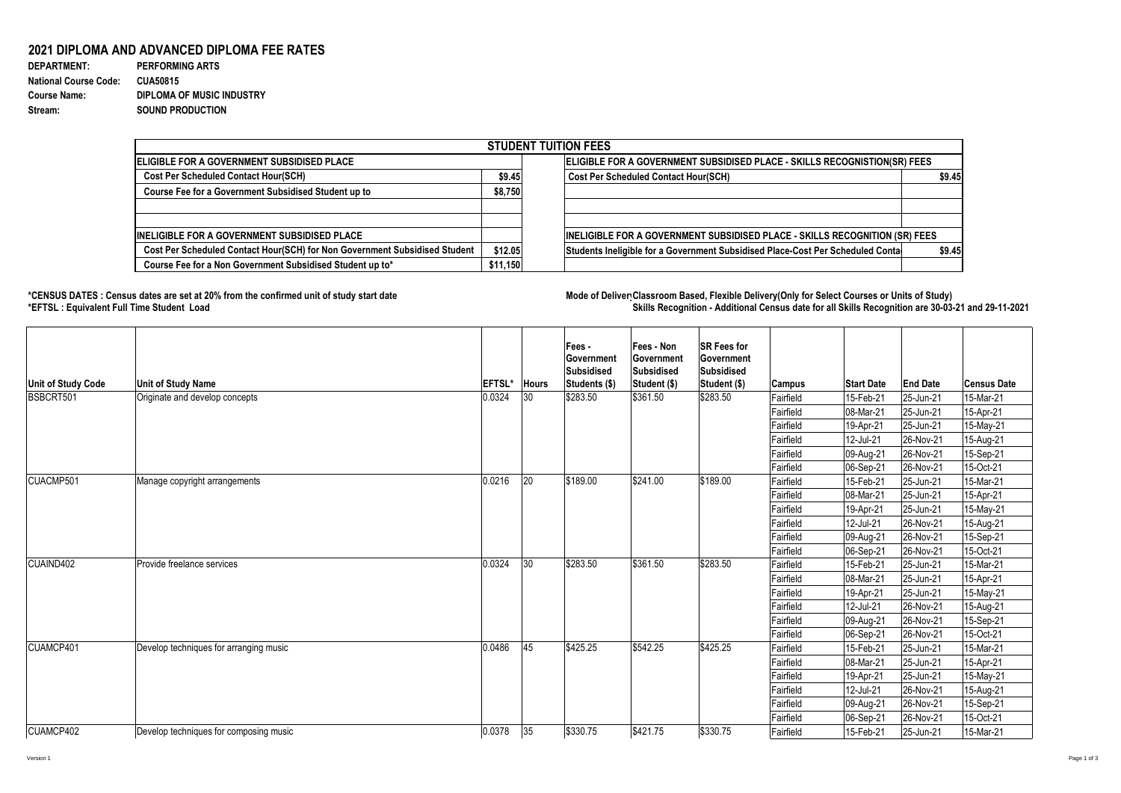## **2021 DIPLOMA AND ADVANCED DIPLOMA FEE RATES**

| <b>DEPARTMENT:</b>           | <b>PERFORMING ARTS</b>           |
|------------------------------|----------------------------------|
| <b>National Course Code:</b> | <b>CUA50815</b>                  |
| <b>Course Name:</b>          | <b>DIPLOMA OF MUSIC INDUSTRY</b> |
| Stream:                      | <b>SOUND PRODUCTION</b>          |

## **\*CENSUS DATES : Census dates are set at 20% from the confirmed unit of study start date Mode of Delivery:Classroom Based, Flexible Delivery(Only for Select Courses or Units of Study) \*EFTSL : Equivalent Full Time Student Load Skills Recognition - Additional Census date for all Skills Recognition are 30-03-21 and 29-11-2021**



| <b>STUDENT TUITION FEES</b>                                                |          |                                                                                |        |  |  |  |  |  |
|----------------------------------------------------------------------------|----------|--------------------------------------------------------------------------------|--------|--|--|--|--|--|
| <b>IELIGIBLE FOR A GOVERNMENT SUBSIDISED PLACE</b>                         |          | ELIGIBLE FOR A GOVERNMENT SUBSIDISED PLACE - SKILLS RECOGNISTION(SR) FEES      |        |  |  |  |  |  |
| <b>Cost Per Scheduled Contact Hour(SCH)</b>                                | \$9.45   | <b>Cost Per Scheduled Contact Hour(SCH)</b>                                    | \$9.45 |  |  |  |  |  |
| <b>Course Fee for a Government Subsidised Student up to</b>                | \$8,750  |                                                                                |        |  |  |  |  |  |
| <b>INELIGIBLE FOR A GOVERNMENT SUBSIDISED PLACE</b>                        |          | INELIGIBLE FOR A GOVERNMENT SUBSIDISED PLACE - SKILLS RECOGNITION (SR) FEES    |        |  |  |  |  |  |
| Cost Per Scheduled Contact Hour(SCH) for Non Government Subsidised Student | \$12.05  | Students Ineligible for a Government Subsidised Place-Cost Per Scheduled Conta | \$9.45 |  |  |  |  |  |
| Course Fee for a Non Government Subsidised Student up to*                  | \$11,150 |                                                                                |        |  |  |  |  |  |

| Unit of Study Code | Unit of Study Name                     | <b>EFTSL*</b> | <b>Hours</b> | <b>Fees -</b><br><b>Government</b><br>Subsidised<br>Students (\$) | <b>Fees - Non</b><br><b>Government</b><br>Subsidised<br>Student (\$) | <b>SR Fees for</b><br> Government<br>Subsidised<br>Student (\$) | <b>Campus</b> | <b>Start Date</b>        | <b>End Date</b> | <b>Census Date</b> |
|--------------------|----------------------------------------|---------------|--------------|-------------------------------------------------------------------|----------------------------------------------------------------------|-----------------------------------------------------------------|---------------|--------------------------|-----------------|--------------------|
| BSBCRT501          | Originate and develop concepts         | 0.0324        | 30           | \$283.50                                                          | \$361.50                                                             | \$283.50                                                        | Fairfield     | 15-Feb-21                | 25-Jun-21       | 15-Mar-21          |
|                    |                                        |               |              |                                                                   |                                                                      |                                                                 | Fairfield     | $ 08-Mar-21$             | $ 25 - Jun-21 $ | 15-Apr-21          |
|                    |                                        |               |              |                                                                   |                                                                      |                                                                 | Fairfield     | $19-Apr-21$              | 25-Jun-21       | 15-May-21          |
|                    |                                        |               |              |                                                                   |                                                                      |                                                                 | Fairfield     | 12-Jul-21                | 26-Nov-21       | 15-Aug-21          |
|                    |                                        |               |              |                                                                   |                                                                      |                                                                 | Fairfield     | 09-Aug-21                | $ 26-Nov-21 $   | 15-Sep-21          |
|                    |                                        |               |              |                                                                   |                                                                      |                                                                 | Fairfield     | 06-Sep-21                | $ 26-Nov-21 $   | 15-Oct-21          |
| CUACMP501          | Manage copyright arrangements          | 0.0216        | 20           | \$189.00                                                          | \$241.00                                                             | \$189.00                                                        | Fairfield     | 15-Feb-21                | 25-Jun-21       | 15-Mar-21          |
|                    |                                        |               |              |                                                                   |                                                                      |                                                                 | Fairfield     | 08-Mar-21                | 25-Jun-21       | 15-Apr-21          |
|                    |                                        |               |              |                                                                   |                                                                      |                                                                 | Fairfield     | 19-Apr-21                | 25-Jun-21       | 15-May-21          |
|                    |                                        |               |              |                                                                   |                                                                      |                                                                 | Fairfield     | 12-Jul-21                | $ 26-Nov-21 $   | 15-Aug-21          |
|                    |                                        |               |              |                                                                   |                                                                      |                                                                 | Fairfield     | 09-Aug-21                | $ 26-Nov-21 $   | 15-Sep-21          |
|                    |                                        |               |              |                                                                   |                                                                      |                                                                 | Fairfield     | 06-Sep-21                | $ 26-Nov-21 $   | 15-Oct-21          |
| CUAIND402          | Provide freelance services             | 0.0324        | 30           | \$283.50                                                          | \$361.50                                                             | \$283.50                                                        | Fairfield     | 15-Feb-21                | 25-Jun-21       | 15-Mar-21          |
|                    |                                        |               |              |                                                                   |                                                                      |                                                                 | Fairfield     | 08-Mar-21                | 25-Jun-21       | 15-Apr-21          |
|                    |                                        |               |              |                                                                   |                                                                      |                                                                 | Fairfield     | 19-Apr-21                | 25-Jun-21       | 15-May-21          |
|                    |                                        |               |              |                                                                   |                                                                      |                                                                 | Fairfield     | 12-Jul-21                | 26-Nov-21       | 15-Aug-21          |
|                    |                                        |               |              |                                                                   |                                                                      |                                                                 | Fairfield     | 09-Aug-21                | $ 26-Nov-21 $   | 15-Sep-21          |
|                    |                                        |               |              |                                                                   |                                                                      |                                                                 | Fairfield     | 06-Sep-21                | $ 26-Nov-21 $   | 15-Oct-21          |
| CUAMCP401          | Develop techniques for arranging music | 0.0486        | 45           | \$425.25                                                          | \$542.25                                                             | \$425.25                                                        | Fairfield     | 15-Feb-21                | 25-Jun-21       | 15-Mar-21          |
|                    |                                        |               |              |                                                                   |                                                                      |                                                                 | Fairfield     | 08-Mar-21                | $ 25 - Jun-21 $ | 15-Apr-21          |
|                    |                                        |               |              |                                                                   |                                                                      |                                                                 | Fairfield     | 19-Apr-21                | $ 25 - Jun-21 $ | 15-May-21          |
|                    |                                        |               |              |                                                                   |                                                                      |                                                                 | Fairfield     | 12-Jul-21                | $ 26-Nov-21 $   | 15-Aug-21          |
|                    |                                        |               |              |                                                                   |                                                                      |                                                                 | Fairfield     | 09-Aug-21                | $ 26-Nov-21 $   | 15-Sep-21          |
|                    |                                        |               |              |                                                                   |                                                                      |                                                                 | Fairfield     | $ 06 - \text{Sep-}21$    | $ 26-Nov-21 $   | 15-Oct-21          |
| CUAMCP402          | Develop techniques for composing music | 0.0378        | 35           | \$330.75                                                          | \$421.75                                                             | \$330.75                                                        | Fairfield     | $ 15 - \text{Feb} - 21 $ | $ 25 - Jun-21 $ | 15-Mar-21          |

Version 1 Page 1 of 3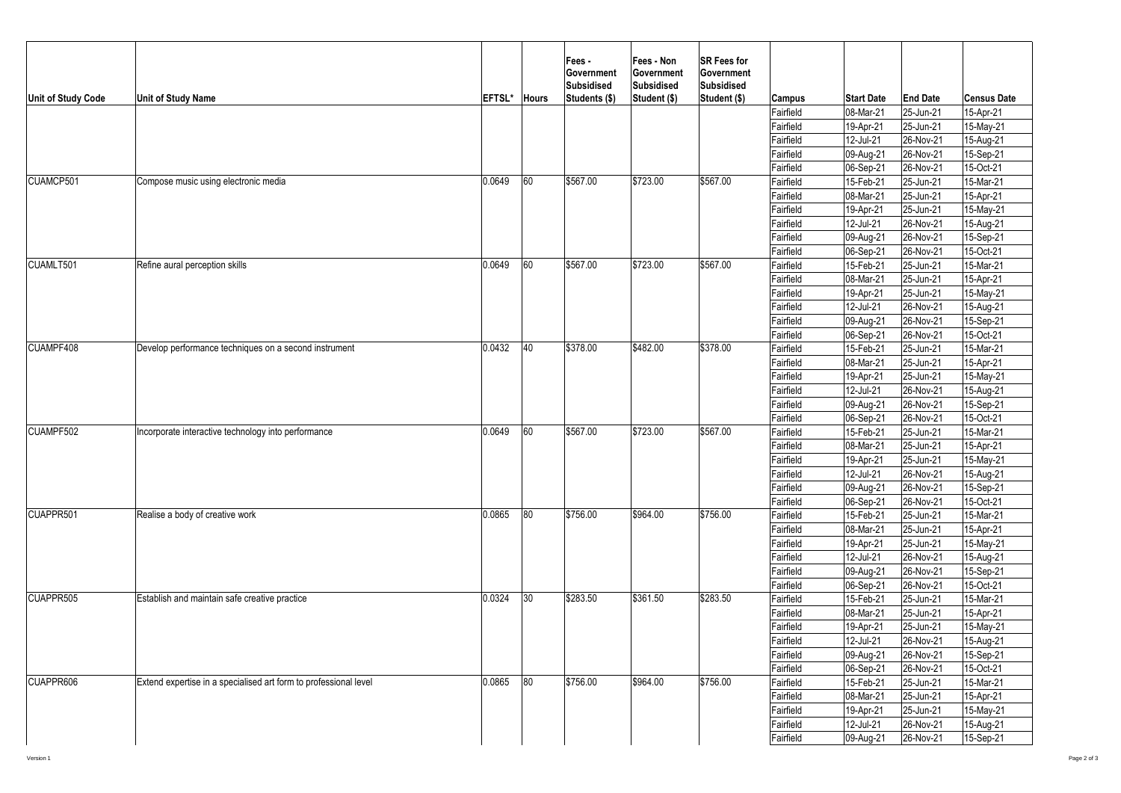| <b>Unit of Study Code</b> | <b>Unit of Study Name</b>                                        | <b>EFTSL*</b> | <b>Hours</b> | <b>Fees-</b><br>∣Government<br>Subsidised<br>Students (\$) | <b>Fees - Non</b><br>Government<br>Subsidised<br>Student (\$) | <b>SR Fees for</b><br><b>Government</b><br>Subsidised<br>Student (\$) | <b>Campus</b> | <b>Start Date</b>     | <b>End Date</b> | <b>Census Date</b> |
|---------------------------|------------------------------------------------------------------|---------------|--------------|------------------------------------------------------------|---------------------------------------------------------------|-----------------------------------------------------------------------|---------------|-----------------------|-----------------|--------------------|
|                           |                                                                  |               |              |                                                            |                                                               |                                                                       | Fairfield     | 08-Mar-21             | 25-Jun-21       | 15-Apr-21          |
|                           |                                                                  |               |              |                                                            |                                                               |                                                                       | Fairfield     | 19-Apr-21             | $ 25 - Jun-21 $ | 15-May-21          |
|                           |                                                                  |               |              |                                                            |                                                               |                                                                       | Fairfield     | 12-Jul-21             | 26-Nov-21       | 15-Aug-21          |
|                           |                                                                  |               |              |                                                            |                                                               |                                                                       | Fairfield     | 09-Aug-21             | $ 26-Nov-21 $   | 15-Sep-21          |
|                           |                                                                  |               |              |                                                            |                                                               |                                                                       | Fairfield     | $ 06 - \text{Sep-}21$ | $ 26-Nov-21 $   | 15-Oct-21          |
| CUAMCP501                 | Compose music using electronic media                             | 0.0649        | 60           | \$567.00                                                   | \$723.00                                                      | \$567.00                                                              | Fairfield     | 15-Feb-21             | 25-Jun-21       | 15-Mar-21          |
|                           |                                                                  |               |              |                                                            |                                                               |                                                                       | Fairfield     | 08-Mar-21             | 25-Jun-21       | 15-Apr-21          |
|                           |                                                                  |               |              |                                                            |                                                               |                                                                       | Fairfield     | 19-Apr-21             | 25-Jun-21       | 15-May-21          |
|                           |                                                                  |               |              |                                                            |                                                               |                                                                       | Fairfield     | 12-Jul-21             | $ 26-Nov-21 $   | 15-Aug-21          |
|                           |                                                                  |               |              |                                                            |                                                               |                                                                       | Fairfield     | 09-Aug-21             | $ 26-Nov-21 $   | 15-Sep-21          |
|                           |                                                                  |               |              |                                                            |                                                               |                                                                       | Fairfield     | 06-Sep-21             | $ 26-Nov-21 $   | 15-Oct-21          |
| CUAMLT501                 | Refine aural perception skills                                   | 0.0649        | 60           | \$567.00                                                   | \$723.00                                                      | \$567.00                                                              | Fairfield     | 15-Feb-21             | 25-Jun-21       | 15-Mar-21          |
|                           |                                                                  |               |              |                                                            |                                                               |                                                                       | Fairfield     | 08-Mar-21             | 25-Jun-21       | 15-Apr-21          |
|                           |                                                                  |               |              |                                                            |                                                               |                                                                       | Fairfield     | 19-Apr-21             | $ 25 - Jun-21 $ | 15-May-21          |
|                           |                                                                  |               |              |                                                            |                                                               |                                                                       | Fairfield     | 12-Jul-21             | 26-Nov-21       | 15-Aug-21          |
|                           |                                                                  |               |              |                                                            |                                                               |                                                                       | Fairfield     | 09-Aug-21             | $ 26-Nov-21 $   | 15-Sep-21          |
|                           |                                                                  |               |              |                                                            |                                                               |                                                                       | Fairfield     | 06-Sep-21             | $ 26-Nov-21 $   | 15-Oct-21          |
| CUAMPF408                 | Develop performance techniques on a second instrument            | 0.0432        | 40           | \$378.00                                                   | \$482.00                                                      | \$378.00                                                              | Fairfield     | 15-Feb-21             | 25-Jun-21       | 15-Mar-21          |
|                           |                                                                  |               |              |                                                            |                                                               |                                                                       | Fairfield     | 08-Mar-21             | $ 25 - Jun-21 $ | 15-Apr-21          |
|                           |                                                                  |               |              |                                                            |                                                               |                                                                       | Fairfield     | 19-Apr-21             | $ 25 - Jun-21 $ | 15-May-21          |
|                           |                                                                  |               |              |                                                            |                                                               |                                                                       | Fairfield     | 12-Jul-21             | $ 26-Nov-21 $   | 15-Aug-21          |
|                           |                                                                  |               |              |                                                            |                                                               |                                                                       | Fairfield     | 09-Aug-21             | $ 26-Nov-21 $   | 15-Sep-21          |
|                           |                                                                  |               |              |                                                            |                                                               |                                                                       | Fairfield     | 06-Sep-21             | $ 26-Nov-21 $   | 15-Oct-21          |
| CUAMPF502                 | Incorporate interactive technology into performance              | 0.0649        | 60           | \$567.00                                                   | \$723.00                                                      | \$567.00                                                              | Fairfield     | 15-Feb-21             | $ 25 - Jun-21 $ | 15-Mar-21          |
|                           |                                                                  |               |              |                                                            |                                                               |                                                                       | Fairfield     | 08-Mar-21             | $ 25 - Jun-21 $ | 15-Apr-21          |
|                           |                                                                  |               |              |                                                            |                                                               |                                                                       | Fairfield     | 19-Apr-21             | $ 25 - Jun-21 $ | 15-May-21          |
|                           |                                                                  |               |              |                                                            |                                                               |                                                                       | Fairfield     | 12-Jul-21             | $ 26-Nov-21 $   | 15-Aug-21          |
|                           |                                                                  |               |              |                                                            |                                                               |                                                                       | Fairfield     | 09-Aug-21             | $ 26-Nov-21 $   | 15-Sep-21          |
|                           |                                                                  |               |              |                                                            |                                                               |                                                                       | Fairfield     | $ 06 - \text{Sep-}21$ | $ 26-Nov-21 $   | 15-Oct-21          |
| CUAPPR501                 | Realise a body of creative work                                  | 0.0865        | 80           | \$756.00                                                   | \$964.00                                                      | \$756.00                                                              | Fairfield     | 15-Feb-21             | $ 25 - Jun-21 $ | 15-Mar-21          |
|                           |                                                                  |               |              |                                                            |                                                               |                                                                       | Fairfield     | 08-Mar-21             | $ 25 - Jun-21 $ | 15-Apr-21          |
|                           |                                                                  |               |              |                                                            |                                                               |                                                                       | Fairfield     | 19-Apr-21             | $ 25 - Jun-21 $ | 15-May-21          |
|                           |                                                                  |               |              |                                                            |                                                               |                                                                       | Fairfield     | 12-Jul-21             | 26-Nov-21       | 15-Aug-21          |
|                           |                                                                  |               |              |                                                            |                                                               |                                                                       | Fairfield     | 09-Aug-21             | $ 26-Nov-21 $   | 15-Sep-21          |
|                           |                                                                  |               |              |                                                            |                                                               |                                                                       | Fairfield     | 06-Sep-21             | $ 26-Nov-21 $   | 15-Oct-21          |
| CUAPPR505                 | Establish and maintain safe creative practice                    | 0.0324        | $ 30\rangle$ | \$283.50                                                   | \$361.50                                                      | \$283.50                                                              | Fairfield     | 15-Feb-21             | $ 25 - Jun-21 $ | 15-Mar-21          |
|                           |                                                                  |               |              |                                                            |                                                               |                                                                       | Fairfield     | 08-Mar-21             | $ 25 - Jun-21 $ | 15-Apr-21          |
|                           |                                                                  |               |              |                                                            |                                                               |                                                                       | Fairfield     | 19-Apr-21             | $ 25 - Jun-21 $ | 15-May-21          |
|                           |                                                                  |               |              |                                                            |                                                               |                                                                       | Fairfield     | 12-Jul-21             | 26-Nov-21       | 15-Aug-21          |
|                           |                                                                  |               |              |                                                            |                                                               |                                                                       | Fairfield     | 09-Aug-21             | $ 26-Nov-21 $   | 15-Sep-21          |
|                           |                                                                  |               |              |                                                            |                                                               |                                                                       | Fairfield     | 06-Sep-21             | $ 26-Nov-21 $   | 15-Oct-21          |
| CUAPPR606                 | Extend expertise in a specialised art form to professional level | 0.0865        | 80           | \$756.00                                                   | \$964.00                                                      | \$756.00                                                              | Fairfield     | 15-Feb-21             | $ 25 - Jun-21 $ | 15-Mar-21          |
|                           |                                                                  |               |              |                                                            |                                                               |                                                                       | Fairfield     | 08-Mar-21             | $ 25 - Jun-21 $ | 15-Apr-21          |
|                           |                                                                  |               |              |                                                            |                                                               |                                                                       | Fairfield     | 19-Apr-21             | $ 25 - Jun-21 $ | 15-May-21          |
|                           |                                                                  |               |              |                                                            |                                                               |                                                                       | Fairfield     | 12-Jul-21             | $ 26-Nov-21 $   | 15-Aug-21          |
|                           |                                                                  |               |              |                                                            |                                                               |                                                                       | Fairfield     | 09-Aug-21             | $ 26-Nov-21 $   | 15-Sep-21          |
|                           |                                                                  |               |              |                                                            |                                                               |                                                                       |               |                       |                 |                    |